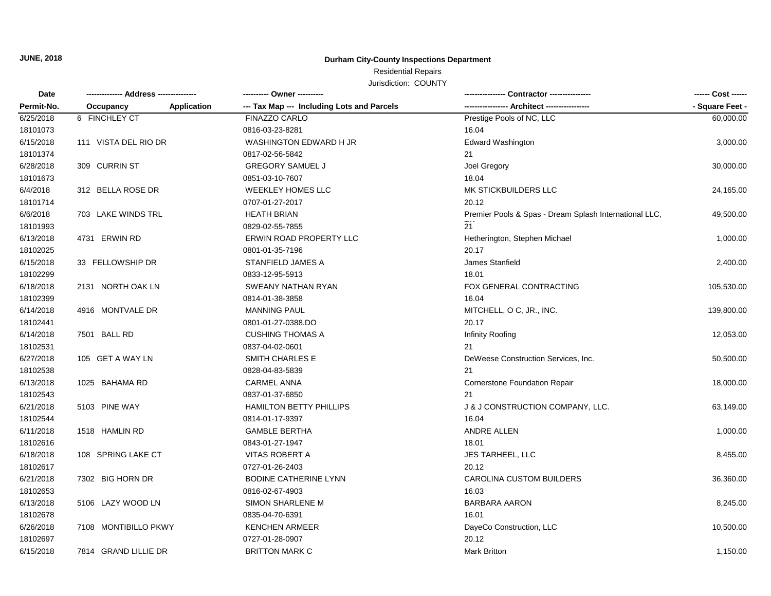**JUNE, 2018**

## **Durham City-County Inspections Department**

# Residential Repairs

Jurisdiction: COUNTY

| Date<br>Permit-No. |                      |             | ---------- Owner ----------                | -- Contractor ----------------                         | ------ Cost ------ |
|--------------------|----------------------|-------------|--------------------------------------------|--------------------------------------------------------|--------------------|
|                    | Occupancy            | Application | --- Tax Map --- Including Lots and Parcels | -- Architect ------                                    | - Square Feet -    |
| 6/25/2018          | 6 FINCHLEY CT        |             | FINAZZO CARLO                              | Prestige Pools of NC, LLC                              | 60,000.00          |
| 18101073           |                      |             | 0816-03-23-8281                            | 16.04                                                  |                    |
| 6/15/2018          | 111 VISTA DEL RIO DR |             | WASHINGTON EDWARD H JR                     | <b>Edward Washington</b>                               | 3,000.00           |
| 18101374           |                      |             | 0817-02-56-5842                            | 21                                                     |                    |
| 6/28/2018          | 309 CURRIN ST        |             | <b>GREGORY SAMUEL J</b>                    | Joel Gregory                                           | 30,000.00          |
| 18101673           |                      |             | 0851-03-10-7607                            | 18.04                                                  |                    |
| 6/4/2018           | 312 BELLA ROSE DR    |             | <b>WEEKLEY HOMES LLC</b>                   | MK STICKBUILDERS LLC                                   | 24,165.00          |
| 18101714           |                      |             | 0707-01-27-2017                            | 20.12                                                  |                    |
| 6/6/2018           | 703 LAKE WINDS TRL   |             | <b>HEATH BRIAN</b>                         | Premier Pools & Spas - Dream Splash International LLC, | 49,500.00          |
| 18101993           |                      |             | 0829-02-55-7855                            | 21                                                     |                    |
| 6/13/2018          | 4731 ERWIN RD        |             | ERWIN ROAD PROPERTY LLC                    | Hetherington, Stephen Michael                          | 1,000.00           |
| 18102025           |                      |             | 0801-01-35-7196                            | 20.17                                                  |                    |
| 6/15/2018          | 33 FELLOWSHIP DR     |             | STANFIELD JAMES A                          | James Stanfield                                        | 2,400.00           |
| 18102299           |                      |             | 0833-12-95-5913                            | 18.01                                                  |                    |
| 6/18/2018          | 2131 NORTH OAK LN    |             | SWEANY NATHAN RYAN                         | FOX GENERAL CONTRACTING                                | 105,530.00         |
| 18102399           |                      |             | 0814-01-38-3858                            | 16.04                                                  |                    |
| 6/14/2018          | 4916 MONTVALE DR     |             | <b>MANNING PAUL</b>                        | MITCHELL, O C, JR., INC.                               | 139,800.00         |
| 18102441           |                      |             | 0801-01-27-0388.DO                         | 20.17                                                  |                    |
| 6/14/2018          | 7501 BALL RD         |             | <b>CUSHING THOMAS A</b>                    | Infinity Roofing                                       | 12,053.00          |
| 18102531           |                      |             | 0837-04-02-0601                            | 21                                                     |                    |
| 6/27/2018          | 105 GET A WAY LN     |             | <b>SMITH CHARLES E</b>                     | DeWeese Construction Services, Inc.                    | 50,500.00          |
| 18102538           |                      |             | 0828-04-83-5839                            | 21                                                     |                    |
| 6/13/2018          | 1025 BAHAMA RD       |             | <b>CARMEL ANNA</b>                         | Cornerstone Foundation Repair                          | 18,000.00          |
| 18102543           |                      |             | 0837-01-37-6850                            | 21                                                     |                    |
| 6/21/2018          | 5103 PINE WAY        |             | <b>HAMILTON BETTY PHILLIPS</b>             | J & J CONSTRUCTION COMPANY, LLC.                       | 63,149.00          |
| 18102544           |                      |             | 0814-01-17-9397                            | 16.04                                                  |                    |
| 6/11/2018          | 1518 HAMLIN RD       |             | <b>GAMBLE BERTHA</b>                       | ANDRE ALLEN                                            | 1,000.00           |
| 18102616           |                      |             | 0843-01-27-1947                            | 18.01                                                  |                    |
| 6/18/2018          | 108 SPRING LAKE CT   |             | VITAS ROBERT A                             | JES TARHEEL, LLC                                       | 8,455.00           |
| 18102617           |                      |             | 0727-01-26-2403                            | 20.12                                                  |                    |
| 6/21/2018          | 7302 BIG HORN DR     |             | BODINE CATHERINE LYNN                      | <b>CAROLINA CUSTOM BUILDERS</b>                        | 36,360.00          |
| 18102653           |                      |             | 0816-02-67-4903                            | 16.03                                                  |                    |
| 6/13/2018          | 5106 LAZY WOOD LN    |             | <b>SIMON SHARLENE M</b>                    | <b>BARBARA AARON</b>                                   | 8,245.00           |
| 18102678           |                      |             | 0835-04-70-6391                            | 16.01                                                  |                    |
| 6/26/2018          | 7108 MONTIBILLO PKWY |             | <b>KENCHEN ARMEER</b>                      | DayeCo Construction, LLC                               | 10,500.00          |
| 18102697           |                      |             | 0727-01-28-0907                            | 20.12                                                  |                    |
| 6/15/2018          | 7814 GRAND LILLIE DR |             | <b>BRITTON MARK C</b>                      | <b>Mark Britton</b>                                    | 1,150.00           |